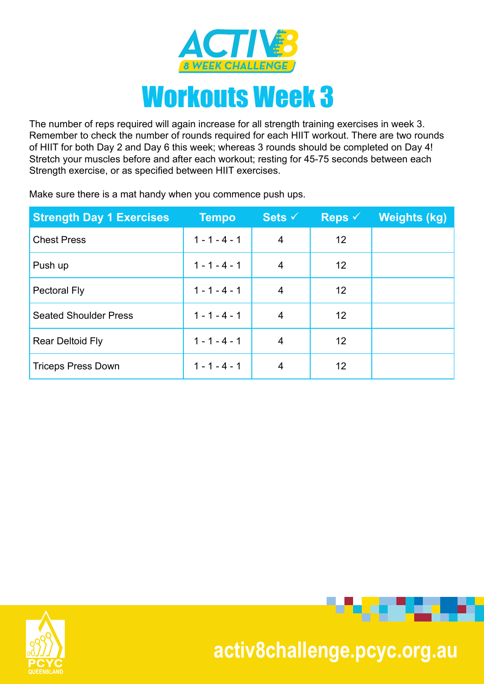

The number of reps required will again increase for all strength training exercises in week 3. Remember to check the number of rounds required for each HIIT workout. There are two rounds of HIIT for both Day 2 and Day 6 this week; whereas 3 rounds should be completed on Day 4! Stretch your muscles before and after each workout; resting for 45-75 seconds between each Strength exercise, or as specified between HIIT exercises.

Make sure there is a mat handy when you commence push ups.

| <b>Strength Day 1 Exercises</b> | <b>Tempo</b>    | Sets $\checkmark$ | Reps $\checkmark$ | <b>Weights (kg)</b> |
|---------------------------------|-----------------|-------------------|-------------------|---------------------|
| <b>Chest Press</b>              | $1 - 1 - 4 - 1$ | 4                 | 12                |                     |
| Push up                         | $1 - 1 - 4 - 1$ | 4                 | 12                |                     |
| <b>Pectoral Fly</b>             | $1 - 1 - 4 - 1$ | 4                 | 12                |                     |
| <b>Seated Shoulder Press</b>    | $1 - 1 - 4 - 1$ | 4                 | 12                |                     |
| <b>Rear Deltoid Fly</b>         | $1 - 1 - 4 - 1$ | 4                 | 12                |                     |
| <b>Triceps Press Down</b>       | $1 - 1 - 4 - 1$ | 4                 | 12                |                     |





. . . . .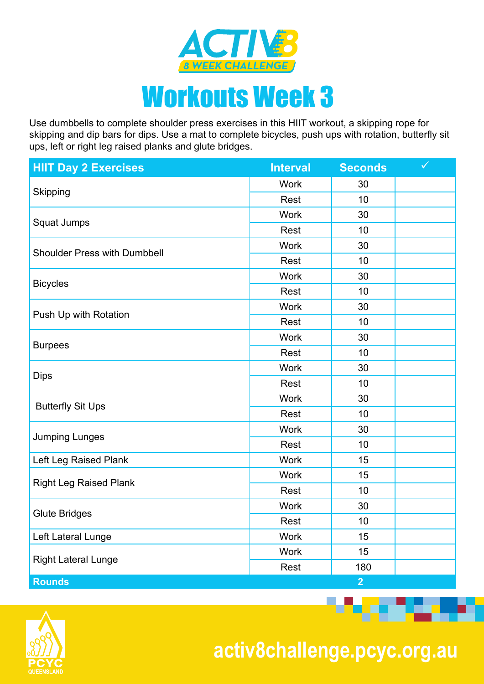

Use dumbbells to complete shoulder press exercises in this HIIT workout, a skipping rope for skipping and dip bars for dips. Use a mat to complete bicycles, push ups with rotation, butterfly sit ups, left or right leg raised planks and glute bridges.

| <b>HIIT Day 2 Exercises</b>         | <b>Interval</b> | <b>Seconds</b>                                                                                                                                                                                                                                                 | $\checkmark$ |
|-------------------------------------|-----------------|----------------------------------------------------------------------------------------------------------------------------------------------------------------------------------------------------------------------------------------------------------------|--------------|
|                                     | <b>Work</b>     | 30<br>10<br>30<br>10<br>30<br>10<br>30<br>10<br>30<br>10<br>30<br>10<br>30<br>10<br>30<br>10<br>30<br>10<br>15<br>15<br>10<br>30<br>10<br>15<br>15<br>180                                                                                                      |              |
| Skipping                            | Rest            |                                                                                                                                                                                                                                                                |              |
|                                     | <b>Work</b>     |                                                                                                                                                                                                                                                                |              |
| Squat Jumps                         | Rest            | $\overline{2}$                                                                                                                                                                                                                                                 |              |
| <b>Shoulder Press with Dumbbell</b> | <b>Work</b>     |                                                                                                                                                                                                                                                                |              |
|                                     | <b>Rest</b>     | <b>Work</b><br>Rest<br><b>Work</b><br><b>Rest</b><br><b>Work</b><br><b>Rest</b><br><b>Work</b><br>Rest<br><b>Work</b><br>Rest<br><b>Work</b><br><b>Rest</b><br><b>Work</b><br><b>Work</b><br>Rest<br><b>Work</b><br>Rest<br><b>Work</b><br><b>Work</b><br>Rest |              |
|                                     |                 |                                                                                                                                                                                                                                                                |              |
| <b>Bicycles</b>                     |                 |                                                                                                                                                                                                                                                                |              |
|                                     |                 |                                                                                                                                                                                                                                                                |              |
| Push Up with Rotation               |                 |                                                                                                                                                                                                                                                                |              |
| <b>Burpees</b>                      |                 |                                                                                                                                                                                                                                                                |              |
|                                     |                 |                                                                                                                                                                                                                                                                |              |
|                                     |                 |                                                                                                                                                                                                                                                                |              |
| <b>Dips</b>                         |                 |                                                                                                                                                                                                                                                                |              |
|                                     |                 |                                                                                                                                                                                                                                                                |              |
| <b>Butterfly Sit Ups</b>            |                 |                                                                                                                                                                                                                                                                |              |
|                                     |                 |                                                                                                                                                                                                                                                                |              |
| <b>Jumping Lunges</b>               |                 |                                                                                                                                                                                                                                                                |              |
| Left Leg Raised Plank               |                 |                                                                                                                                                                                                                                                                |              |
|                                     |                 |                                                                                                                                                                                                                                                                |              |
| <b>Right Leg Raised Plank</b>       |                 |                                                                                                                                                                                                                                                                |              |
|                                     |                 |                                                                                                                                                                                                                                                                |              |
| <b>Glute Bridges</b>                |                 |                                                                                                                                                                                                                                                                |              |
| Left Lateral Lunge                  |                 |                                                                                                                                                                                                                                                                |              |
|                                     |                 |                                                                                                                                                                                                                                                                |              |
| <b>Right Lateral Lunge</b>          |                 |                                                                                                                                                                                                                                                                |              |
| <b>Rounds</b>                       |                 |                                                                                                                                                                                                                                                                |              |



 **activ8challenge.pcyc.org.au**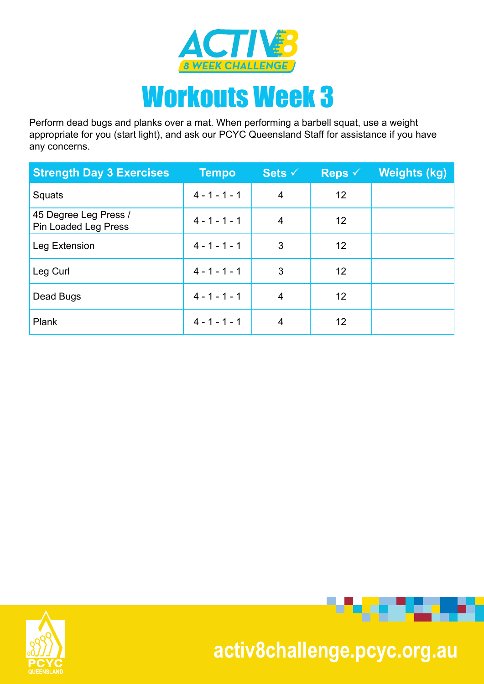

Perform dead bugs and planks over a mat. When performing a barbell squat, use a weight appropriate for you (start light), and ask our PCYC Queensland Staff for assistance if you have any concerns.

| <b>Strength Day 3 Exercises</b>                      | <b>Tempo</b>    | Sets $\checkmark$ | Reps $\checkmark$ | <b>Weights (kg)</b> |
|------------------------------------------------------|-----------------|-------------------|-------------------|---------------------|
| Squats                                               | $4 - 1 - 1 - 1$ | 4                 | 12                |                     |
| 45 Degree Leg Press /<br><b>Pin Loaded Leg Press</b> | $4 - 1 - 1 - 1$ | 4                 | 12                |                     |
| Leg Extension                                        | $4 - 1 - 1 - 1$ | 3                 | 12                |                     |
| Leg Curl                                             | $4 - 1 - 1 - 1$ | 3                 | 12                |                     |
| Dead Bugs                                            | $4 - 1 - 1 - 1$ | 4                 | 12                |                     |
| Plank                                                | $4 - 1 - 1 - 1$ |                   | 12                |                     |





#### **activ8challenge.pcyc.org.au**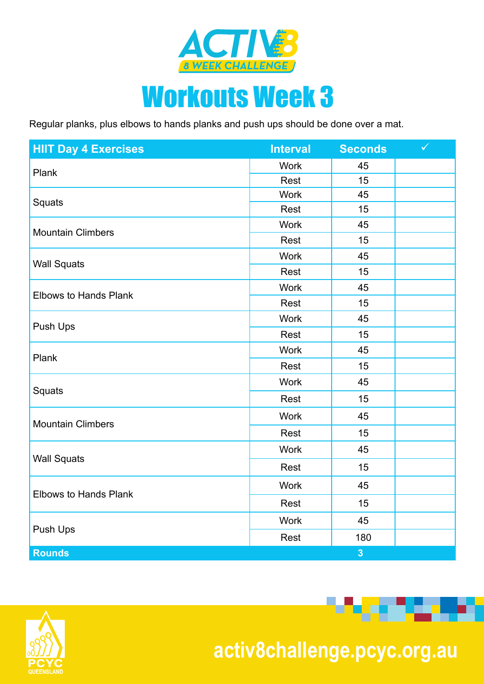

Regular planks, plus elbows to hands planks and push ups should be done over a mat.

| <b>HIIT Day 4 Exercises</b>  | <b>Interval</b>                                                                                                                                                                                                                                                                                                                        | <b>Seconds</b> | $\checkmark$ |
|------------------------------|----------------------------------------------------------------------------------------------------------------------------------------------------------------------------------------------------------------------------------------------------------------------------------------------------------------------------------------|----------------|--------------|
| Plank                        | <b>Work</b>                                                                                                                                                                                                                                                                                                                            | 45             |              |
|                              | Rest                                                                                                                                                                                                                                                                                                                                   | 15             |              |
| Squats                       | <b>Work</b>                                                                                                                                                                                                                                                                                                                            | 45             |              |
|                              | Rest                                                                                                                                                                                                                                                                                                                                   | 15             |              |
| <b>Mountain Climbers</b>     | <b>Work</b>                                                                                                                                                                                                                                                                                                                            | 45             |              |
|                              | 15<br>Rest<br><b>Work</b><br>45<br>Rest<br>15<br><b>Work</b><br>45<br>15<br>Rest<br><b>Work</b><br>45<br>Rest<br>15<br>45<br><b>Work</b><br>Rest<br>15<br><b>Work</b><br>45<br>Rest<br>15<br><b>Work</b><br>45<br>Rest<br>15<br><b>Work</b><br>45<br>Rest<br>15<br><b>Work</b><br>45<br>15<br>Rest<br><b>Work</b><br>45<br>180<br>Rest |                |              |
| <b>Wall Squats</b>           |                                                                                                                                                                                                                                                                                                                                        |                |              |
|                              |                                                                                                                                                                                                                                                                                                                                        |                |              |
|                              |                                                                                                                                                                                                                                                                                                                                        |                |              |
| <b>Elbows to Hands Plank</b> |                                                                                                                                                                                                                                                                                                                                        |                |              |
|                              |                                                                                                                                                                                                                                                                                                                                        |                |              |
| Push Ups                     |                                                                                                                                                                                                                                                                                                                                        |                |              |
| Plank                        |                                                                                                                                                                                                                                                                                                                                        |                |              |
|                              |                                                                                                                                                                                                                                                                                                                                        |                |              |
|                              |                                                                                                                                                                                                                                                                                                                                        |                |              |
| Squats                       | $\mathbf{3}$                                                                                                                                                                                                                                                                                                                           |                |              |
|                              |                                                                                                                                                                                                                                                                                                                                        |                |              |
| <b>Mountain Climbers</b>     |                                                                                                                                                                                                                                                                                                                                        |                |              |
|                              |                                                                                                                                                                                                                                                                                                                                        |                |              |
| <b>Wall Squats</b>           |                                                                                                                                                                                                                                                                                                                                        |                |              |
|                              |                                                                                                                                                                                                                                                                                                                                        |                |              |
| <b>Elbows to Hands Plank</b> |                                                                                                                                                                                                                                                                                                                                        |                |              |
|                              |                                                                                                                                                                                                                                                                                                                                        |                |              |
| Push Ups                     |                                                                                                                                                                                                                                                                                                                                        |                |              |
| <b>Rounds</b>                |                                                                                                                                                                                                                                                                                                                                        |                |              |



 **activ8challenge.pcyc.org.au**

**TANK AND IN**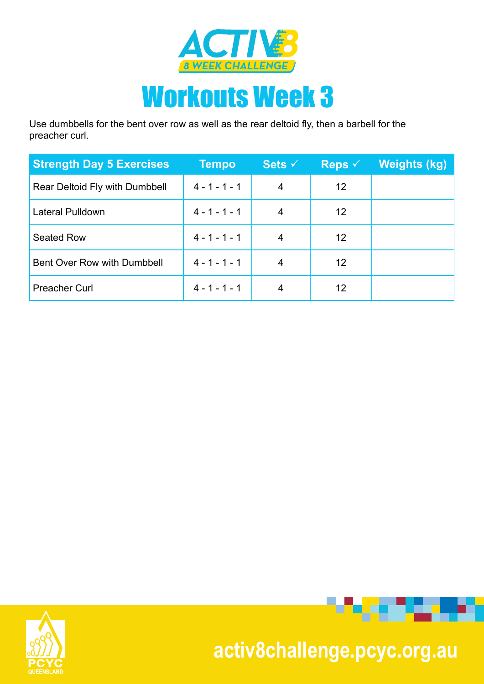

Use dumbbells for the bent over row as well as the rear deltoid fly, then a barbell for the preacher curl.

| <b>Strength Day 5 Exercises</b> | <b>Tempo</b>    | Sets $\checkmark$ | Reps $\checkmark$ | <b>Weights (kg)</b> |
|---------------------------------|-----------------|-------------------|-------------------|---------------------|
| Rear Deltoid Fly with Dumbbell  | $4 - 1 - 1 - 1$ | 4                 | 12                |                     |
| Lateral Pulldown                | $4 - 1 - 1 - 1$ | 4                 | 12                |                     |
| Seated Row                      | $4 - 1 - 1 - 1$ | 4                 | 12                |                     |
| Bent Over Row with Dumbbell     | $4 - 1 - 1 - 1$ | 4                 | 12                |                     |
| <b>Preacher Curl</b>            | $4 - 1 - 1 - 1$ | 4                 | 12                |                     |





#### **activ8.pcyc.org.au activ8challenge.pcyc.org.au**